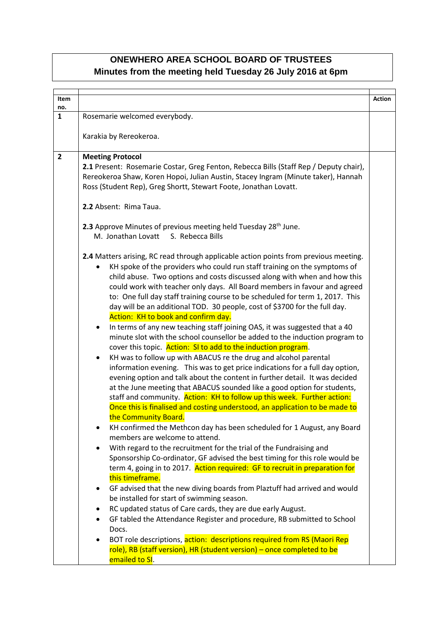## **ONEWHERO AREA SCHOOL BOARD OF TRUSTEES Minutes from the meeting held Tuesday 26 July 2016 at 6pm**

| <b>Item</b><br>no. |                                                                                                                                                                                                                                                                                                                                                                                                                                                                                                                                   | <b>Action</b> |
|--------------------|-----------------------------------------------------------------------------------------------------------------------------------------------------------------------------------------------------------------------------------------------------------------------------------------------------------------------------------------------------------------------------------------------------------------------------------------------------------------------------------------------------------------------------------|---------------|
| $\mathbf{1}$       | Rosemarie welcomed everybody.                                                                                                                                                                                                                                                                                                                                                                                                                                                                                                     |               |
|                    | Karakia by Rereokeroa.                                                                                                                                                                                                                                                                                                                                                                                                                                                                                                            |               |
|                    |                                                                                                                                                                                                                                                                                                                                                                                                                                                                                                                                   |               |
| $\overline{2}$     | <b>Meeting Protocol</b>                                                                                                                                                                                                                                                                                                                                                                                                                                                                                                           |               |
|                    | 2.1 Present: Rosemarie Costar, Greg Fenton, Rebecca Bills (Staff Rep / Deputy chair),<br>Rereokeroa Shaw, Koren Hopoi, Julian Austin, Stacey Ingram (Minute taker), Hannah<br>Ross (Student Rep), Greg Shortt, Stewart Foote, Jonathan Lovatt.                                                                                                                                                                                                                                                                                    |               |
|                    | 2.2 Absent: Rima Taua.                                                                                                                                                                                                                                                                                                                                                                                                                                                                                                            |               |
|                    | 2.3 Approve Minutes of previous meeting held Tuesday 28 <sup>th</sup> June.<br>M. Jonathan Lovatt S. Rebecca Bills                                                                                                                                                                                                                                                                                                                                                                                                                |               |
|                    | 2.4 Matters arising, RC read through applicable action points from previous meeting.<br>KH spoke of the providers who could run staff training on the symptoms of<br>child abuse. Two options and costs discussed along with when and how this<br>could work with teacher only days. All Board members in favour and agreed<br>to: One full day staff training course to be scheduled for term 1, 2017. This<br>day will be an additional TOD. 30 people, cost of \$3700 for the full day.<br>Action: KH to book and confirm day. |               |
|                    | In terms of any new teaching staff joining OAS, it was suggested that a 40<br>minute slot with the school counsellor be added to the induction program to<br>cover this topic. Action: SI to add to the induction program.                                                                                                                                                                                                                                                                                                        |               |
|                    | KH was to follow up with ABACUS re the drug and alcohol parental<br>information evening. This was to get price indications for a full day option,<br>evening option and talk about the content in further detail. It was decided<br>at the June meeting that ABACUS sounded like a good option for students,<br>staff and community. Action: KH to follow up this week. Further action:<br>Once this is finalised and costing understood, an application to be made to<br>the Community Board.                                    |               |
|                    | KH confirmed the Methcon day has been scheduled for 1 August, any Board<br>members are welcome to attend.                                                                                                                                                                                                                                                                                                                                                                                                                         |               |
|                    | With regard to the recruitment for the trial of the Fundraising and<br>٠<br>Sponsorship Co-ordinator, GF advised the best timing for this role would be                                                                                                                                                                                                                                                                                                                                                                           |               |
|                    | term 4, going in to 2017. Action required: GF to recruit in preparation for<br>this timeframe.                                                                                                                                                                                                                                                                                                                                                                                                                                    |               |
|                    | GF advised that the new diving boards from Plaztuff had arrived and would<br>٠                                                                                                                                                                                                                                                                                                                                                                                                                                                    |               |
|                    | be installed for start of swimming season.                                                                                                                                                                                                                                                                                                                                                                                                                                                                                        |               |
|                    | RC updated status of Care cards, they are due early August.                                                                                                                                                                                                                                                                                                                                                                                                                                                                       |               |
|                    | GF tabled the Attendance Register and procedure, RB submitted to School<br>Docs.                                                                                                                                                                                                                                                                                                                                                                                                                                                  |               |
|                    | BOT role descriptions, action: descriptions required from RS (Maori Rep<br>role), RB (staff version), HR (student version) – once completed to be<br>emailed to SI.                                                                                                                                                                                                                                                                                                                                                               |               |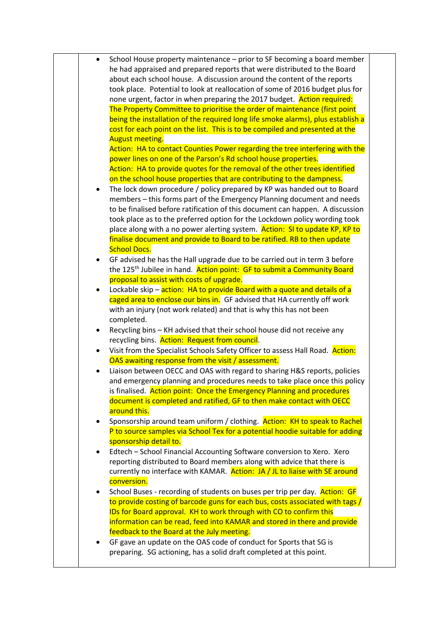| $\bullet$ | School House property maintenance - prior to SF becoming a board member             |
|-----------|-------------------------------------------------------------------------------------|
|           | he had appraised and prepared reports that were distributed to the Board            |
|           |                                                                                     |
|           | about each school house. A discussion around the content of the reports             |
|           | took place. Potential to look at reallocation of some of 2016 budget plus for       |
|           | none urgent, factor in when preparing the 2017 budget. Action required:             |
|           | The Property Committee to prioritise the order of maintenance (first point          |
|           | being the installation of the required long life smoke alarms), plus establish a    |
|           | cost for each point on the list. This is to be compiled and presented at the        |
|           | <b>August meeting.</b>                                                              |
|           | Action: HA to contact Counties Power regarding the tree interfering with the        |
|           | power lines on one of the Parson's Rd school house properties.                      |
|           |                                                                                     |
|           | Action: HA to provide quotes for the removal of the other trees identified          |
|           | on the school house properties that are contributing to the dampness.               |
| ٠         | The lock down procedure / policy prepared by KP was handed out to Board             |
|           | members – this forms part of the Emergency Planning document and needs              |
|           | to be finalised before ratification of this document can happen. A discussion       |
|           | took place as to the preferred option for the Lockdown policy wording took          |
|           | place along with a no power alerting system. Action: SI to update KP, KP to         |
|           | finalise document and provide to Board to be ratified. RB to then update            |
|           | <b>School Docs.</b>                                                                 |
| ٠         | GF advised he has the Hall upgrade due to be carried out in term 3 before           |
|           |                                                                                     |
|           | the 125 <sup>th</sup> Jubilee in hand. Action point: GF to submit a Community Board |
|           | proposal to assist with costs of upgrade.                                           |
| $\bullet$ | Lockable skip - action: HA to provide Board with a quote and details of a           |
|           | caged area to enclose our bins in. GF advised that HA currently off work            |
|           | with an injury (not work related) and that is why this has not been                 |
|           | completed.                                                                          |
| ٠         | Recycling bins - KH advised that their school house did not receive any             |
|           | recycling bins. Action: Request from council.                                       |
|           | Visit from the Specialist Schools Safety Officer to assess Hall Road. Action:       |
|           | OAS awaiting response from the visit $\overline{I}$ assessment.                     |
| $\bullet$ | Liaison between OECC and OAS with regard to sharing H&S reports, policies           |
|           | and emergency planning and procedures needs to take place once this policy          |
|           | is finalised. Action point: Once the Emergency Planning and procedures              |
|           | document is completed and ratified, GF to then make contact with OECC               |
|           |                                                                                     |
|           | around this.                                                                        |
|           | Sponsorship around team uniform / clothing. Action: KH to speak to Rachel           |
|           | P to source samples via School Tex for a potential hoodie suitable for adding       |
|           | sponsorship detail to.                                                              |
|           | Edtech - School Financial Accounting Software conversion to Xero. Xero              |
|           | reporting distributed to Board members along with advice that there is              |
|           | currently no interface with KAMAR. Action: JA / JL to liaise with SE around         |
|           | conversion.                                                                         |
| ٠         | School Buses - recording of students on buses per trip per day. Action: GF          |
|           | to provide costing of barcode guns for each bus, costs associated with tags /       |
|           |                                                                                     |
|           | IDs for Board approval. KH to work through with CO to confirm this                  |
|           | information can be read, feed into KAMAR and stored in there and provide            |
|           | feedback to the Board at the July meeting.                                          |
|           | GF gave an update on the OAS code of conduct for Sports that SG is                  |
|           | preparing. SG actioning, has a solid draft completed at this point.                 |
|           |                                                                                     |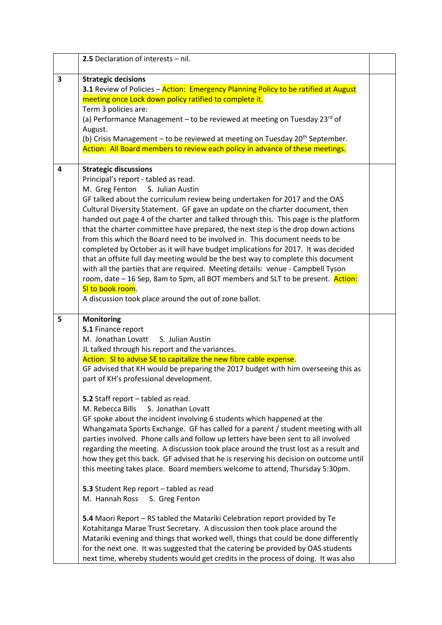|                         | 2.5 Declaration of interests - nil.                                                                                                                                                                                                                                                                                                                                                                                                                                                                                                                                                                                                                                                                                                                                                                                                                                                                                                                                                                                                                                                                                                                                                                                                                                                                                                                                   |  |
|-------------------------|-----------------------------------------------------------------------------------------------------------------------------------------------------------------------------------------------------------------------------------------------------------------------------------------------------------------------------------------------------------------------------------------------------------------------------------------------------------------------------------------------------------------------------------------------------------------------------------------------------------------------------------------------------------------------------------------------------------------------------------------------------------------------------------------------------------------------------------------------------------------------------------------------------------------------------------------------------------------------------------------------------------------------------------------------------------------------------------------------------------------------------------------------------------------------------------------------------------------------------------------------------------------------------------------------------------------------------------------------------------------------|--|
| $\overline{\mathbf{3}}$ | <b>Strategic decisions</b><br>3.1 Review of Policies - Action: Emergency Planning Policy to be ratified at August<br>meeting once Lock down policy ratified to complete it.<br>Term 3 policies are:<br>(a) Performance Management - to be reviewed at meeting on Tuesday 23rd of<br>August.<br>(b) Crisis Management – to be reviewed at meeting on Tuesday $20th$ September.<br>Action: All Board members to review each policy in advance of these meetings.                                                                                                                                                                                                                                                                                                                                                                                                                                                                                                                                                                                                                                                                                                                                                                                                                                                                                                        |  |
| 4                       | <b>Strategic discussions</b><br>Principal's report - tabled as read.<br>M. Greg Fenton<br>S. Julian Austin<br>GF talked about the curriculum review being undertaken for 2017 and the OAS<br>Cultural Diversity Statement. GF gave an update on the charter document, then<br>handed out page 4 of the charter and talked through this. This page is the platform<br>that the charter committee have prepared, the next step is the drop down actions<br>from this which the Board need to be involved in. This document needs to be<br>completed by October as it will have budget implications for 2017. It was decided<br>that an offsite full day meeting would be the best way to complete this document<br>with all the parties that are required. Meeting details: venue - Campbell Tyson<br>room, date – 16 Sep, 8am to 5pm, all BOT members and SLT to be present. Action:<br>SI to book room.<br>A discussion took place around the out of zone ballot.                                                                                                                                                                                                                                                                                                                                                                                                     |  |
| 5                       | <b>Monitoring</b><br>5.1 Finance report<br>M. Jonathan Lovatt<br>S. Julian Austin<br>JL talked through his report and the variances.<br>Action: SI to advise SE to capitalize the new fibre cable expense.<br>GF advised that KH would be preparing the 2017 budget with him overseeing this as<br>part of KH's professional development.<br>5.2 Staff report - tabled as read.<br>M. Rebecca Bills<br>S. Jonathan Lovatt<br>GF spoke about the incident involving 6 students which happened at the<br>Whangamata Sports Exchange. GF has called for a parent / student meeting with all<br>parties involved. Phone calls and follow up letters have been sent to all involved<br>regarding the meeting. A discussion took place around the trust lost as a result and<br>how they get this back. GF advised that he is reserving his decision on outcome until<br>this meeting takes place. Board members welcome to attend, Thursday 5:30pm.<br>5.3 Student Rep report - tabled as read<br>M. Hannah Ross<br>S. Greg Fenton<br>5.4 Maori Report - RS tabled the Matariki Celebration report provided by Te<br>Kotahitanga Marae Trust Secretary. A discussion then took place around the<br>Matariki evening and things that worked well, things that could be done differently<br>for the next one. It was suggested that the catering be provided by OAS students |  |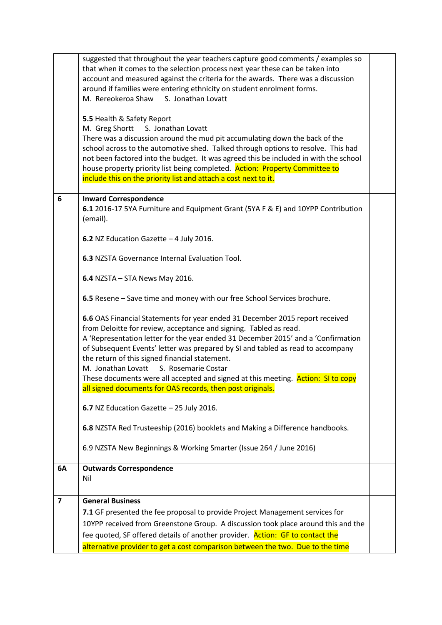|                | suggested that throughout the year teachers capture good comments / examples so<br>that when it comes to the selection process next year these can be taken into<br>account and measured against the criteria for the awards. There was a discussion<br>around if families were entering ethnicity on student enrolment forms.<br>M. Rereokeroa Shaw<br>S. Jonathan Lovatt<br>5.5 Health & Safety Report<br>M. Greg Shortt S. Jonathan Lovatt<br>There was a discussion around the mud pit accumulating down the back of the<br>school across to the automotive shed. Talked through options to resolve. This had<br>not been factored into the budget. It was agreed this be included in with the school<br>house property priority list being completed. Action: Property Committee to<br>include this on the priority list and attach a cost next to it. |  |
|----------------|-------------------------------------------------------------------------------------------------------------------------------------------------------------------------------------------------------------------------------------------------------------------------------------------------------------------------------------------------------------------------------------------------------------------------------------------------------------------------------------------------------------------------------------------------------------------------------------------------------------------------------------------------------------------------------------------------------------------------------------------------------------------------------------------------------------------------------------------------------------|--|
| 6              | <b>Inward Correspondence</b><br>6.1 2016-17 5YA Furniture and Equipment Grant (5YA F & E) and 10YPP Contribution<br>(email).                                                                                                                                                                                                                                                                                                                                                                                                                                                                                                                                                                                                                                                                                                                                |  |
|                | 6.2 NZ Education Gazette - 4 July 2016.                                                                                                                                                                                                                                                                                                                                                                                                                                                                                                                                                                                                                                                                                                                                                                                                                     |  |
|                | 6.3 NZSTA Governance Internal Evaluation Tool.                                                                                                                                                                                                                                                                                                                                                                                                                                                                                                                                                                                                                                                                                                                                                                                                              |  |
|                | 6.4 NZSTA - STA News May 2016.                                                                                                                                                                                                                                                                                                                                                                                                                                                                                                                                                                                                                                                                                                                                                                                                                              |  |
|                | 6.5 Resene – Save time and money with our free School Services brochure.                                                                                                                                                                                                                                                                                                                                                                                                                                                                                                                                                                                                                                                                                                                                                                                    |  |
|                | 6.6 OAS Financial Statements for year ended 31 December 2015 report received<br>from Deloitte for review, acceptance and signing. Tabled as read.<br>A 'Representation letter for the year ended 31 December 2015' and a 'Confirmation<br>of Subsequent Events' letter was prepared by SI and tabled as read to accompany<br>the return of this signed financial statement.<br>M. Jonathan Lovatt S. Rosemarie Costar                                                                                                                                                                                                                                                                                                                                                                                                                                       |  |
|                | These documents were all accepted and signed at this meeting. Action: SI to copy<br>all signed documents for OAS records, then post originals.                                                                                                                                                                                                                                                                                                                                                                                                                                                                                                                                                                                                                                                                                                              |  |
|                | 6.7 NZ Education Gazette - 25 July 2016.                                                                                                                                                                                                                                                                                                                                                                                                                                                                                                                                                                                                                                                                                                                                                                                                                    |  |
|                | 6.8 NZSTA Red Trusteeship (2016) booklets and Making a Difference handbooks.                                                                                                                                                                                                                                                                                                                                                                                                                                                                                                                                                                                                                                                                                                                                                                                |  |
|                | 6.9 NZSTA New Beginnings & Working Smarter (Issue 264 / June 2016)                                                                                                                                                                                                                                                                                                                                                                                                                                                                                                                                                                                                                                                                                                                                                                                          |  |
| 6A             | <b>Outwards Correspondence</b><br>Nil                                                                                                                                                                                                                                                                                                                                                                                                                                                                                                                                                                                                                                                                                                                                                                                                                       |  |
| $\overline{ }$ | <b>General Business</b>                                                                                                                                                                                                                                                                                                                                                                                                                                                                                                                                                                                                                                                                                                                                                                                                                                     |  |
|                | 7.1 GF presented the fee proposal to provide Project Management services for<br>10YPP received from Greenstone Group. A discussion took place around this and the<br>fee quoted, SF offered details of another provider. Action: GF to contact the                                                                                                                                                                                                                                                                                                                                                                                                                                                                                                                                                                                                          |  |
|                | alternative provider to get a cost comparison between the two. Due to the time                                                                                                                                                                                                                                                                                                                                                                                                                                                                                                                                                                                                                                                                                                                                                                              |  |